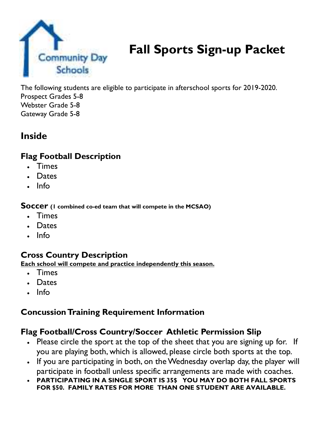

## **Fall Sports Sign-up Packet**

The following students are eligible to participate in afterschool sports for 2019-2020. Prospect Grades 5-8 Webster Grade 5-8 Gateway Grade 5-8

## **Inside**

## **Flag Football Description**

- Times
- Dates
- $Info$

**Soccer (1 combined co-ed team that will compete in the MCSAO)**

- Times
- Dates
- Info

#### **Cross Country Description**

**Each school will compete and practice independently this season.** 

- Times
- Dates
- Info

### **Concussion Training Requirement Information**

### **Flag Football/Cross Country/Soccer Athletic Permission Slip**

- Please circle the sport at the top of the sheet that you are signing up for. If you are playing both, which is allowed, please circle both sports at the top.
- If you are participating in both, on the Wednesday overlap day, the player will participate in football unless specific arrangements are made with coaches.
- **PARTICIPATING IN A SINGLE SPORT IS 35\$ YOU MAY DO BOTH FALL SPORTS FOR \$50. FAMILY RATES FOR MORE THAN ONE STUDENT ARE AVAILABLE.**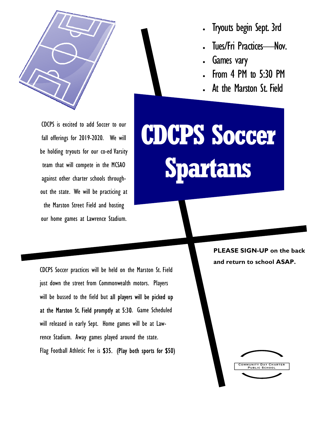

CDCPS is excited to add Soccer to our fall offerings for 2019-2020. We will be holding tryouts for our co-ed Varsity team that will compete in the MCSAO against other charter schools throughout the state. We will be practicing at the Marston Street Field and hosting our home games at Lawrence Stadium.

Tryouts begin Sept. 3rd

- Tues/Fri Practices—Nov.
- Games vary
- From 4 PM to 5:30 PM
- At the Marston St. Field

**CDCPS Soccer Spartans**

CDCPS Soccer practices will be held on the Marston St. Field just down the street from Commonwealth motors. Players will be bussed to the field but all players will be picked up at the Marston St. Field promptly at 5:30. Game Scheduled will released in early Sept. Home games will be at Lawrence Stadium. Away games played around the state. Flag Football Athletic Fee is \$35. (Play both sports for \$50)

**PLEASE SIGN-UP on the back and return to school ASAP.** 

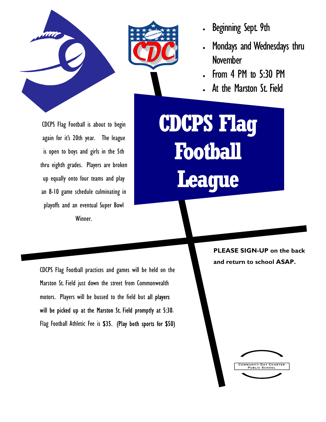



- Beginning Sept. 9th
- Mondays and Wednesdays thru November
- From 4 PM to 5:30 PM
- At the Marston St. Field

CDCPS Flag Football is about to begin again for it's 20th year. The league is open to boys and girls in the 5th thru eighth grades. Players are broken up equally onto four teams and play an 8-10 game schedule culminating in playoffs and an eventual Super Bowl Winner.

**CDCPS Flag Football League**

> **PLEASE SIGN-UP on the back and return to school ASAP.**

CDCPS Flag Football practices and games will be held on the Marston St. Field just down the street from Commonwealth motors. Players will be bussed to the field but all players will be picked up at the Marston St. Field promptly at 5:30. Flag Football Athletic Fee is \$35. (Play both sports for \$50)

> **MUNITY DAY CHART** PUBLIC SCHOO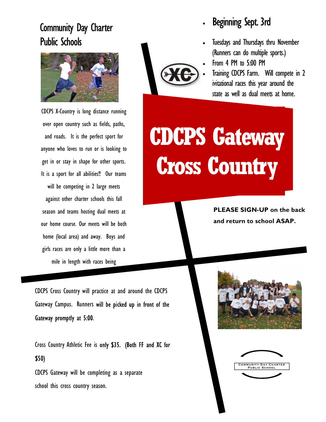## Community Day Charter Public Schools



CDCPS X-Country is long distance running over open country such as fields, paths, and roads. It is the perfect sport for anyone who loves to run or is looking to get in or stay in shape for other sports. It is a sport for all abilities!! Our teams will be competing in 2 large meets against other charter schools this fall season and teams hosting dual meets at our home course. Our meets will be both home (local area) and away. Boys and girls races are only a little more than a mile in length with races being

CDCPS Cross Country will practice at and around the CDCPS Gateway Campus. Runners will be picked up in front of the Gateway promptly at 5:00.

Cross Country Athletic Fee is only \$35. (Both FF and XC for \$50)

CDCPS Gateway will be completing as a separate school this cross country season.



## Beginning Sept. 3rd

- Tuesdays and Thursdays thru November (Runners can do multiple sports.)
- From 4 PM to 5:00 PM
	- Training CDCPS Farm. Will compete in 2 ivitational races this year around the state as well as dual meets at home.

# **CDCPS Gateway Cross Country**

**PLEASE SIGN-UP on the back and return to school ASAP.** 



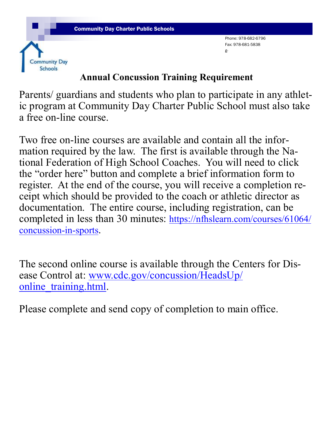

**Community Day Schools** 

Phone: 978-682-6796 Fax: 978-681-5838 g-

## **Annual Concussion Training Requirement**

Parents/ guardians and students who plan to participate in any athletic program at Community Day Charter Public School must also take a free on-line course.

Two free on-line courses are available and contain all the information required by the law. The first is available through the National Federation of High School Coaches. You will need to click the "order here" button and complete a brief information form to register. At the end of the course, you will receive a completion receipt which should be provided to the coach or athletic director as documentation. The entire course, including registration, can be completed in less than 30 minutes: https://nfhslearn.com/courses/61064/ concussion-in-sports.

The second online course is available through the Centers for Disease Control at: www.cdc.gov/concussion/HeadsUp/ online\_training.html.

Please complete and send copy of completion to main office.